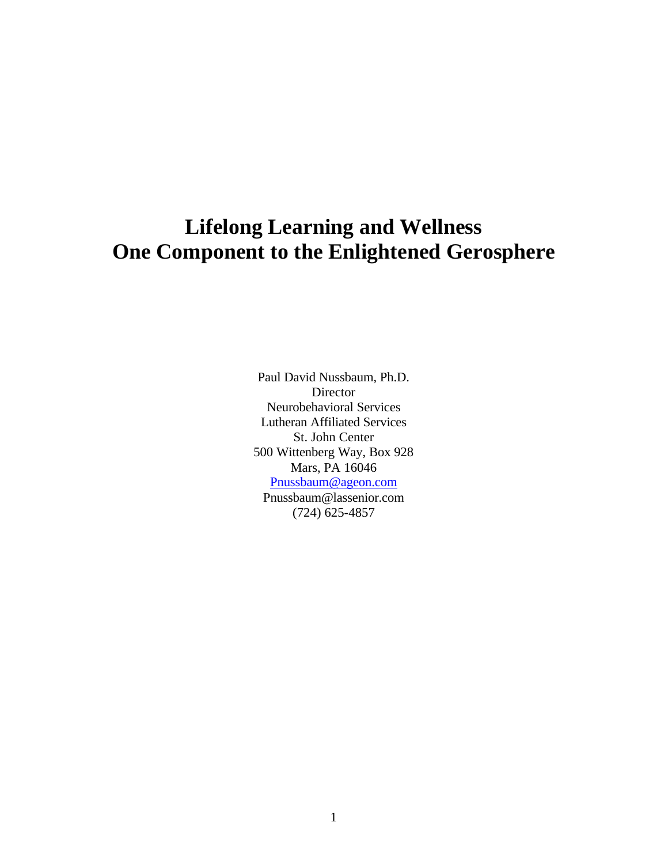# **Lifelong Learning and Wellness One Component to the Enlightened Gerosphere**

Paul David Nussbaum, Ph.D. Director Neurobehavioral Services Lutheran Affiliated Services St. John Center 500 Wittenberg Way, Box 928 Mars, PA 16046 Pnussbaum@ageon.com Pnussbaum@lassenior.com (724) 625-4857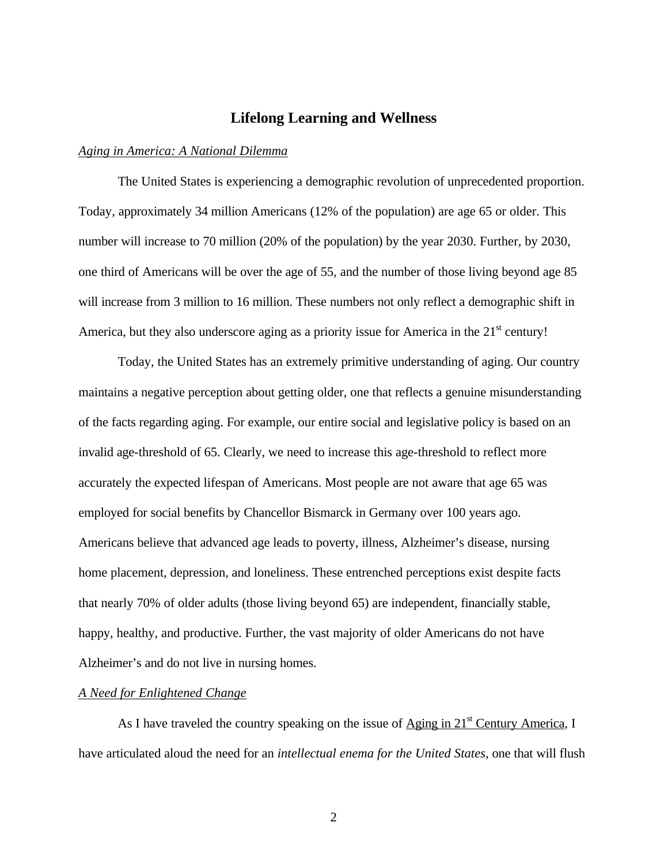# **Lifelong Learning and Wellness**

## *Aging in America: A National Dilemma*

The United States is experiencing a demographic revolution of unprecedented proportion. Today, approximately 34 million Americans (12% of the population) are age 65 or older. This number will increase to 70 million (20% of the population) by the year 2030. Further, by 2030, one third of Americans will be over the age of 55, and the number of those living beyond age 85 will increase from 3 million to 16 million. These numbers not only reflect a demographic shift in America, but they also underscore aging as a priority issue for America in the  $21<sup>st</sup>$  century!

Today, the United States has an extremely primitive understanding of aging. Our country maintains a negative perception about getting older, one that reflects a genuine misunderstanding of the facts regarding aging. For example, our entire social and legislative policy is based on an invalid age-threshold of 65. Clearly, we need to increase this age-threshold to reflect more accurately the expected lifespan of Americans. Most people are not aware that age 65 was employed for social benefits by Chancellor Bismarck in Germany over 100 years ago. Americans believe that advanced age leads to poverty, illness, Alzheimer's disease, nursing home placement, depression, and loneliness. These entrenched perceptions exist despite facts that nearly 70% of older adults (those living beyond 65) are independent, financially stable, happy, healthy, and productive. Further, the vast majority of older Americans do not have Alzheimer's and do not live in nursing homes.

# *A Need for Enlightened Change*

As I have traveled the country speaking on the issue of  $\triangle$ ging in  $21<sup>st</sup>$  Century America, I have articulated aloud the need for an *intellectual enema for the United States*, one that will flush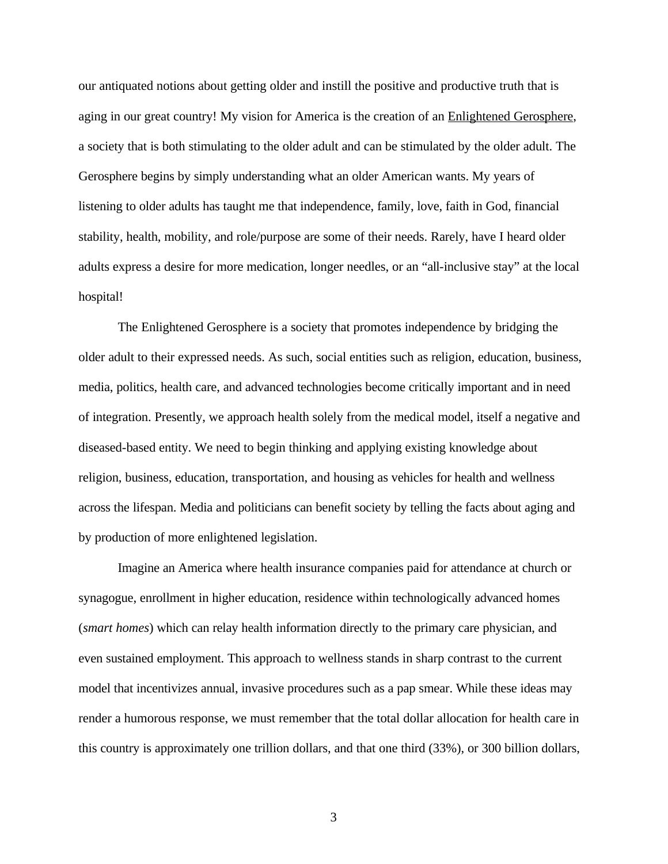our antiquated notions about getting older and instill the positive and productive truth that is aging in our great country! My vision for America is the creation of an Enlightened Gerosphere, a society that is both stimulating to the older adult and can be stimulated by the older adult. The Gerosphere begins by simply understanding what an older American wants. My years of listening to older adults has taught me that independence, family, love, faith in God, financial stability, health, mobility, and role/purpose are some of their needs. Rarely, have I heard older adults express a desire for more medication, longer needles, or an "all-inclusive stay" at the local hospital!

The Enlightened Gerosphere is a society that promotes independence by bridging the older adult to their expressed needs. As such, social entities such as religion, education, business, media, politics, health care, and advanced technologies become critically important and in need of integration. Presently, we approach health solely from the medical model, itself a negative and diseased-based entity. We need to begin thinking and applying existing knowledge about religion, business, education, transportation, and housing as vehicles for health and wellness across the lifespan. Media and politicians can benefit society by telling the facts about aging and by production of more enlightened legislation.

Imagine an America where health insurance companies paid for attendance at church or synagogue, enrollment in higher education, residence within technologically advanced homes (*smart homes*) which can relay health information directly to the primary care physician, and even sustained employment. This approach to wellness stands in sharp contrast to the current model that incentivizes annual, invasive procedures such as a pap smear. While these ideas may render a humorous response, we must remember that the total dollar allocation for health care in this country is approximately one trillion dollars, and that one third (33%), or 300 billion dollars,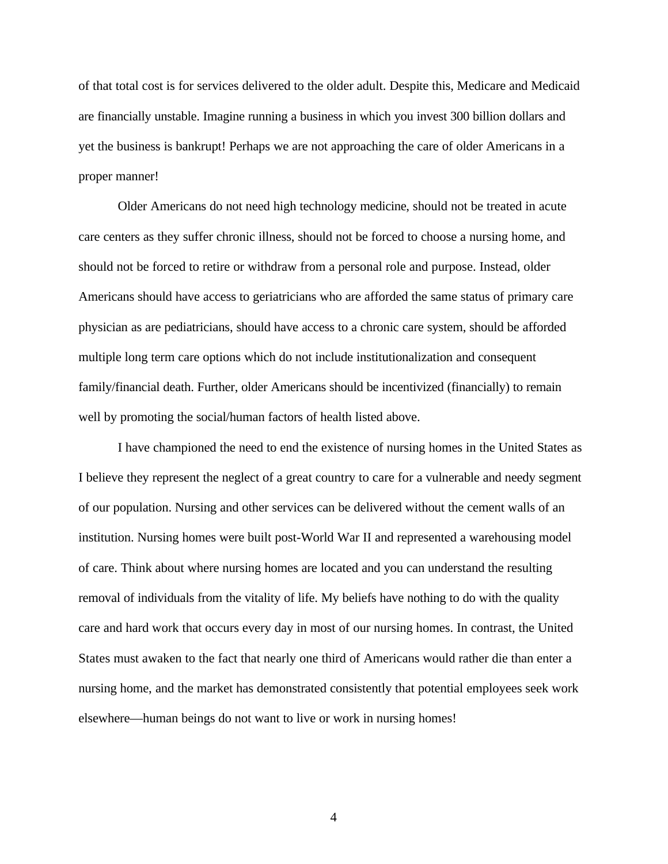of that total cost is for services delivered to the older adult. Despite this, Medicare and Medicaid are financially unstable. Imagine running a business in which you invest 300 billion dollars and yet the business is bankrupt! Perhaps we are not approaching the care of older Americans in a proper manner!

Older Americans do not need high technology medicine, should not be treated in acute care centers as they suffer chronic illness, should not be forced to choose a nursing home, and should not be forced to retire or withdraw from a personal role and purpose. Instead, older Americans should have access to geriatricians who are afforded the same status of primary care physician as are pediatricians, should have access to a chronic care system, should be afforded multiple long term care options which do not include institutionalization and consequent family/financial death. Further, older Americans should be incentivized (financially) to remain well by promoting the social/human factors of health listed above.

I have championed the need to end the existence of nursing homes in the United States as I believe they represent the neglect of a great country to care for a vulnerable and needy segment of our population. Nursing and other services can be delivered without the cement walls of an institution. Nursing homes were built post-World War II and represented a warehousing model of care. Think about where nursing homes are located and you can understand the resulting removal of individuals from the vitality of life. My beliefs have nothing to do with the quality care and hard work that occurs every day in most of our nursing homes. In contrast, the United States must awaken to the fact that nearly one third of Americans would rather die than enter a nursing home, and the market has demonstrated consistently that potential employees seek work elsewhere—human beings do not want to live or work in nursing homes!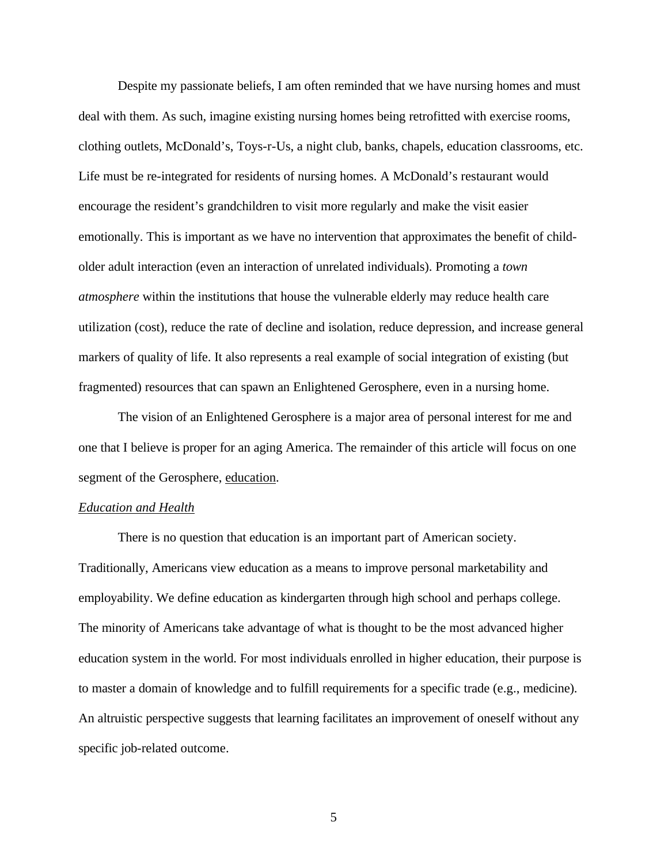Despite my passionate beliefs, I am often reminded that we have nursing homes and must deal with them. As such, imagine existing nursing homes being retrofitted with exercise rooms, clothing outlets, McDonald's, Toys-r-Us, a night club, banks, chapels, education classrooms, etc. Life must be re-integrated for residents of nursing homes. A McDonald's restaurant would encourage the resident's grandchildren to visit more regularly and make the visit easier emotionally. This is important as we have no intervention that approximates the benefit of childolder adult interaction (even an interaction of unrelated individuals). Promoting a *town atmosphere* within the institutions that house the vulnerable elderly may reduce health care utilization (cost), reduce the rate of decline and isolation, reduce depression, and increase general markers of quality of life. It also represents a real example of social integration of existing (but fragmented) resources that can spawn an Enlightened Gerosphere, even in a nursing home.

The vision of an Enlightened Gerosphere is a major area of personal interest for me and one that I believe is proper for an aging America. The remainder of this article will focus on one segment of the Gerosphere, education.

## *Education and Health*

There is no question that education is an important part of American society. Traditionally, Americans view education as a means to improve personal marketability and employability. We define education as kindergarten through high school and perhaps college. The minority of Americans take advantage of what is thought to be the most advanced higher education system in the world. For most individuals enrolled in higher education, their purpose is to master a domain of knowledge and to fulfill requirements for a specific trade (e.g., medicine). An altruistic perspective suggests that learning facilitates an improvement of oneself without any specific job-related outcome.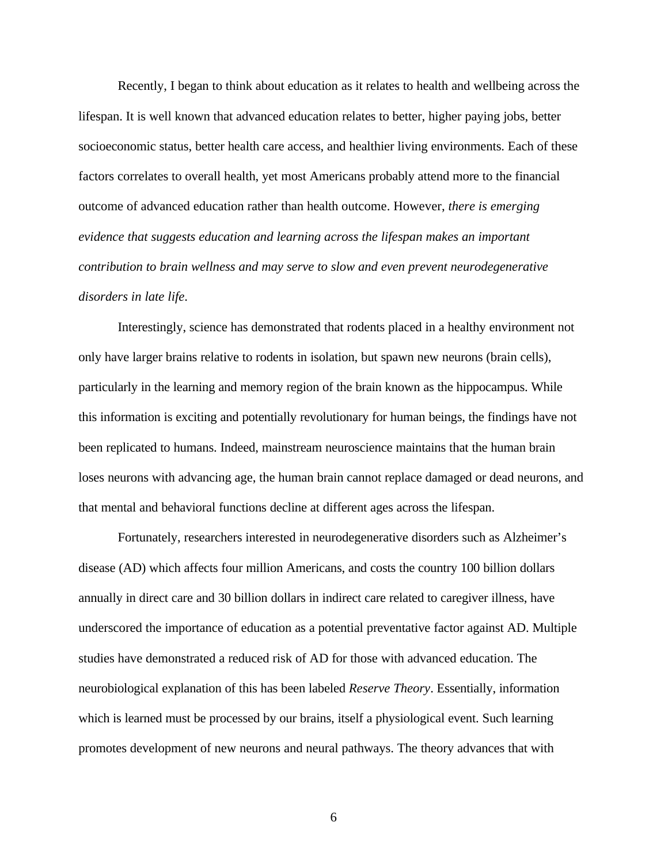Recently, I began to think about education as it relates to health and wellbeing across the lifespan. It is well known that advanced education relates to better, higher paying jobs, better socioeconomic status, better health care access, and healthier living environments. Each of these factors correlates to overall health, yet most Americans probably attend more to the financial outcome of advanced education rather than health outcome. However, *there is emerging evidence that suggests education and learning across the lifespan makes an important contribution to brain wellness and may serve to slow and even prevent neurodegenerative disorders in late life*.

Interestingly, science has demonstrated that rodents placed in a healthy environment not only have larger brains relative to rodents in isolation, but spawn new neurons (brain cells), particularly in the learning and memory region of the brain known as the hippocampus. While this information is exciting and potentially revolutionary for human beings, the findings have not been replicated to humans. Indeed, mainstream neuroscience maintains that the human brain loses neurons with advancing age, the human brain cannot replace damaged or dead neurons, and that mental and behavioral functions decline at different ages across the lifespan.

Fortunately, researchers interested in neurodegenerative disorders such as Alzheimer's disease (AD) which affects four million Americans, and costs the country 100 billion dollars annually in direct care and 30 billion dollars in indirect care related to caregiver illness, have underscored the importance of education as a potential preventative factor against AD. Multiple studies have demonstrated a reduced risk of AD for those with advanced education. The neurobiological explanation of this has been labeled *Reserve Theory*. Essentially, information which is learned must be processed by our brains, itself a physiological event. Such learning promotes development of new neurons and neural pathways. The theory advances that with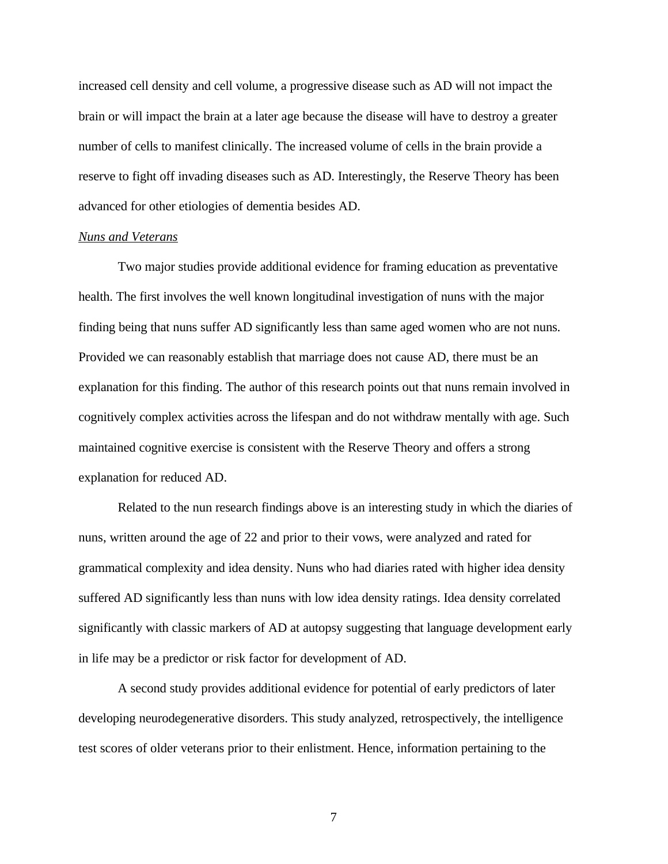increased cell density and cell volume, a progressive disease such as AD will not impact the brain or will impact the brain at a later age because the disease will have to destroy a greater number of cells to manifest clinically. The increased volume of cells in the brain provide a reserve to fight off invading diseases such as AD. Interestingly, the Reserve Theory has been advanced for other etiologies of dementia besides AD.

#### *Nuns and Veterans*

Two major studies provide additional evidence for framing education as preventative health. The first involves the well known longitudinal investigation of nuns with the major finding being that nuns suffer AD significantly less than same aged women who are not nuns. Provided we can reasonably establish that marriage does not cause AD, there must be an explanation for this finding. The author of this research points out that nuns remain involved in cognitively complex activities across the lifespan and do not withdraw mentally with age. Such maintained cognitive exercise is consistent with the Reserve Theory and offers a strong explanation for reduced AD.

Related to the nun research findings above is an interesting study in which the diaries of nuns, written around the age of 22 and prior to their vows, were analyzed and rated for grammatical complexity and idea density. Nuns who had diaries rated with higher idea density suffered AD significantly less than nuns with low idea density ratings. Idea density correlated significantly with classic markers of AD at autopsy suggesting that language development early in life may be a predictor or risk factor for development of AD.

A second study provides additional evidence for potential of early predictors of later developing neurodegenerative disorders. This study analyzed, retrospectively, the intelligence test scores of older veterans prior to their enlistment. Hence, information pertaining to the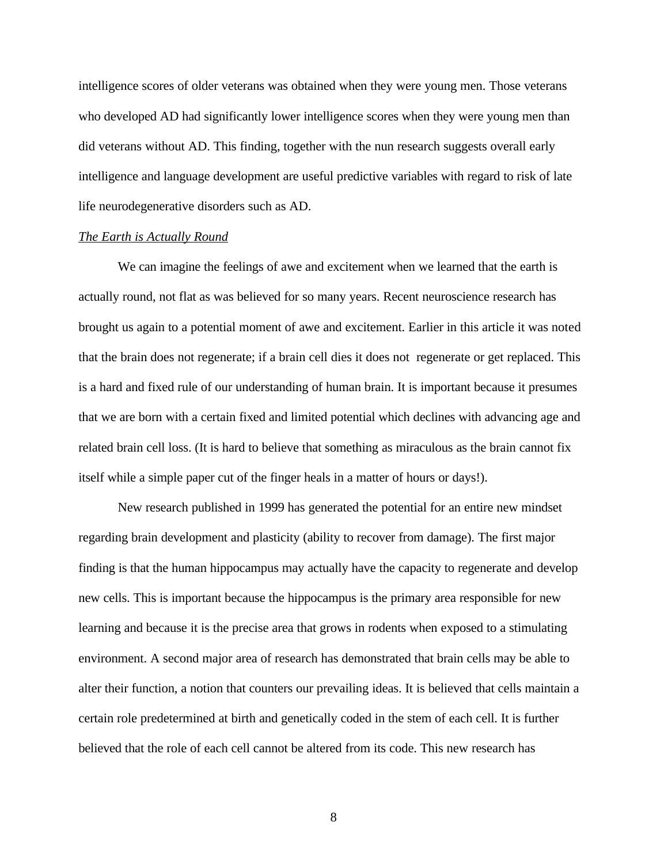intelligence scores of older veterans was obtained when they were young men. Those veterans who developed AD had significantly lower intelligence scores when they were young men than did veterans without AD. This finding, together with the nun research suggests overall early intelligence and language development are useful predictive variables with regard to risk of late life neurodegenerative disorders such as AD.

### *The Earth is Actually Round*

We can imagine the feelings of awe and excitement when we learned that the earth is actually round, not flat as was believed for so many years. Recent neuroscience research has brought us again to a potential moment of awe and excitement. Earlier in this article it was noted that the brain does not regenerate; if a brain cell dies it does not regenerate or get replaced. This is a hard and fixed rule of our understanding of human brain. It is important because it presumes that we are born with a certain fixed and limited potential which declines with advancing age and related brain cell loss. (It is hard to believe that something as miraculous as the brain cannot fix itself while a simple paper cut of the finger heals in a matter of hours or days!).

New research published in 1999 has generated the potential for an entire new mindset regarding brain development and plasticity (ability to recover from damage). The first major finding is that the human hippocampus may actually have the capacity to regenerate and develop new cells. This is important because the hippocampus is the primary area responsible for new learning and because it is the precise area that grows in rodents when exposed to a stimulating environment. A second major area of research has demonstrated that brain cells may be able to alter their function, a notion that counters our prevailing ideas. It is believed that cells maintain a certain role predetermined at birth and genetically coded in the stem of each cell. It is further believed that the role of each cell cannot be altered from its code. This new research has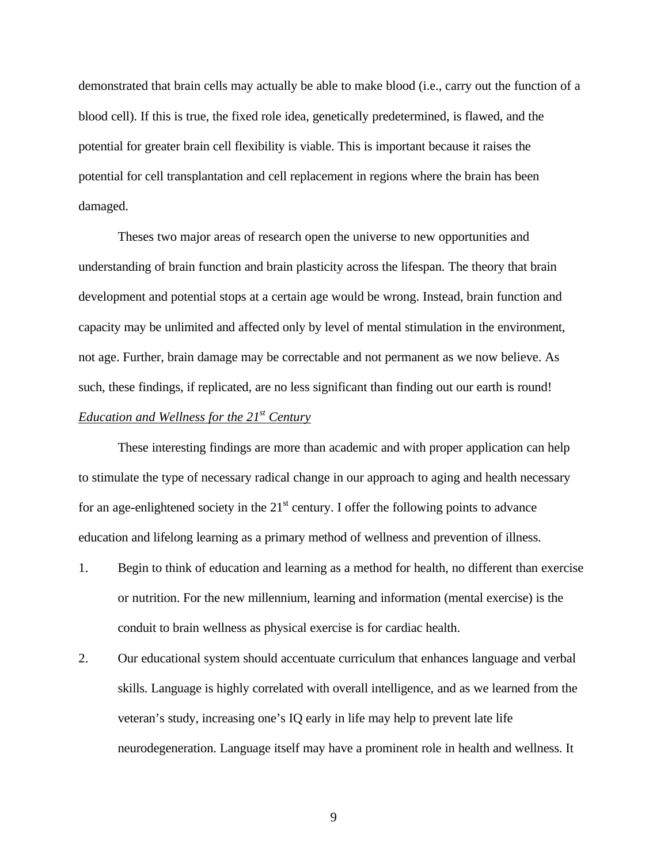demonstrated that brain cells may actually be able to make blood (i.e., carry out the function of a blood cell). If this is true, the fixed role idea, genetically predetermined, is flawed, and the potential for greater brain cell flexibility is viable. This is important because it raises the potential for cell transplantation and cell replacement in regions where the brain has been damaged.

Theses two major areas of research open the universe to new opportunities and understanding of brain function and brain plasticity across the lifespan. The theory that brain development and potential stops at a certain age would be wrong. Instead, brain function and capacity may be unlimited and affected only by level of mental stimulation in the environment, not age. Further, brain damage may be correctable and not permanent as we now believe. As such, these findings, if replicated, are no less significant than finding out our earth is round! *Education and Wellness for the 21st Century*

These interesting findings are more than academic and with proper application can help to stimulate the type of necessary radical change in our approach to aging and health necessary for an age-enlightened society in the  $21<sup>st</sup>$  century. I offer the following points to advance education and lifelong learning as a primary method of wellness and prevention of illness.

- 1. Begin to think of education and learning as a method for health, no different than exercise or nutrition. For the new millennium, learning and information (mental exercise) is the conduit to brain wellness as physical exercise is for cardiac health.
- 2. Our educational system should accentuate curriculum that enhances language and verbal skills. Language is highly correlated with overall intelligence, and as we learned from the veteran's study, increasing one's IQ early in life may help to prevent late life neurodegeneration. Language itself may have a prominent role in health and wellness. It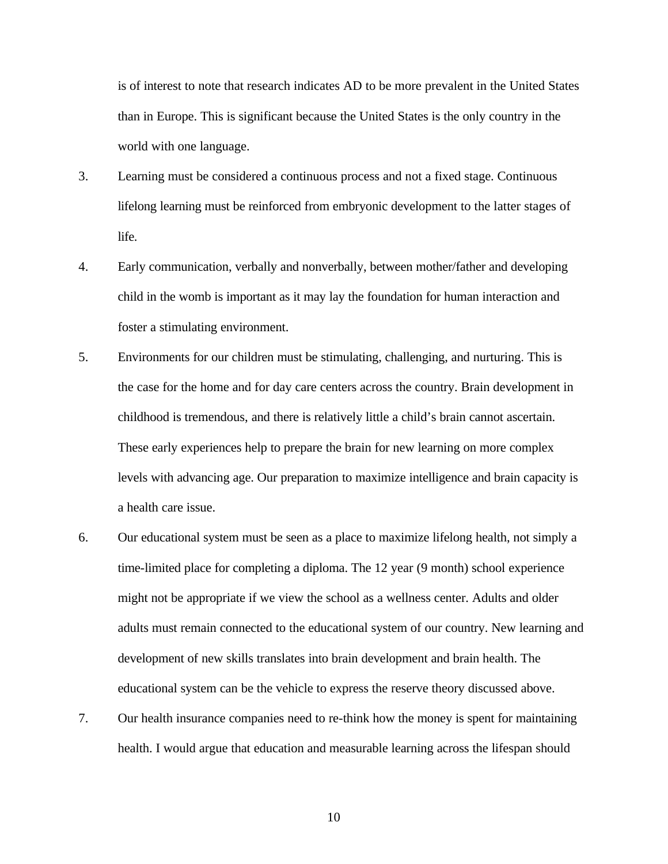is of interest to note that research indicates AD to be more prevalent in the United States than in Europe. This is significant because the United States is the only country in the world with one language.

- 3. Learning must be considered a continuous process and not a fixed stage. Continuous lifelong learning must be reinforced from embryonic development to the latter stages of life.
- 4. Early communication, verbally and nonverbally, between mother/father and developing child in the womb is important as it may lay the foundation for human interaction and foster a stimulating environment.
- 5. Environments for our children must be stimulating, challenging, and nurturing. This is the case for the home and for day care centers across the country. Brain development in childhood is tremendous, and there is relatively little a child's brain cannot ascertain. These early experiences help to prepare the brain for new learning on more complex levels with advancing age. Our preparation to maximize intelligence and brain capacity is a health care issue.
- 6. Our educational system must be seen as a place to maximize lifelong health, not simply a time-limited place for completing a diploma. The 12 year (9 month) school experience might not be appropriate if we view the school as a wellness center. Adults and older adults must remain connected to the educational system of our country. New learning and development of new skills translates into brain development and brain health. The educational system can be the vehicle to express the reserve theory discussed above.
- 7. Our health insurance companies need to re-think how the money is spent for maintaining health. I would argue that education and measurable learning across the lifespan should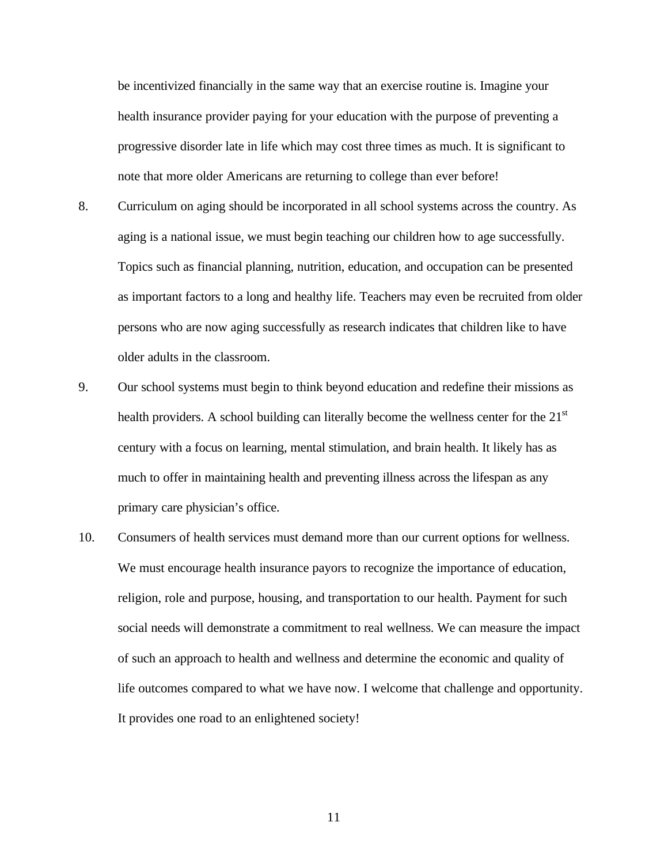be incentivized financially in the same way that an exercise routine is. Imagine your health insurance provider paying for your education with the purpose of preventing a progressive disorder late in life which may cost three times as much. It is significant to note that more older Americans are returning to college than ever before!

- 8. Curriculum on aging should be incorporated in all school systems across the country. As aging is a national issue, we must begin teaching our children how to age successfully. Topics such as financial planning, nutrition, education, and occupation can be presented as important factors to a long and healthy life. Teachers may even be recruited from older persons who are now aging successfully as research indicates that children like to have older adults in the classroom.
- 9. Our school systems must begin to think beyond education and redefine their missions as health providers. A school building can literally become the wellness center for the 21<sup>st</sup> century with a focus on learning, mental stimulation, and brain health. It likely has as much to offer in maintaining health and preventing illness across the lifespan as any primary care physician's office.
- 10. Consumers of health services must demand more than our current options for wellness. We must encourage health insurance payors to recognize the importance of education, religion, role and purpose, housing, and transportation to our health. Payment for such social needs will demonstrate a commitment to real wellness. We can measure the impact of such an approach to health and wellness and determine the economic and quality of life outcomes compared to what we have now. I welcome that challenge and opportunity. It provides one road to an enlightened society!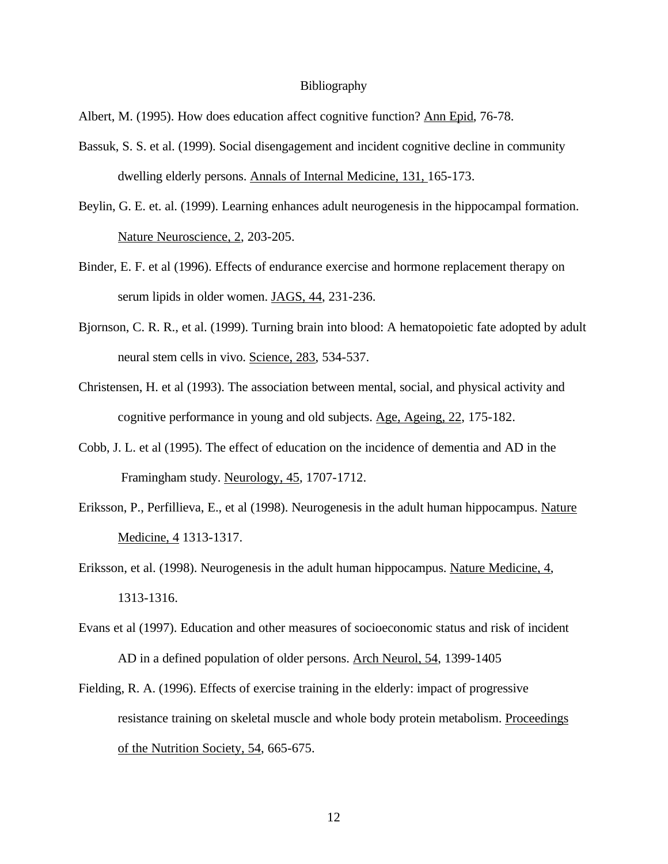#### **Bibliography**

Albert, M. (1995). How does education affect cognitive function? Ann Epid, 76-78.

- Bassuk, S. S. et al. (1999). Social disengagement and incident cognitive decline in community dwelling elderly persons. Annals of Internal Medicine, 131, 165-173.
- Beylin, G. E. et. al. (1999). Learning enhances adult neurogenesis in the hippocampal formation. Nature Neuroscience, 2, 203-205.
- Binder, E. F. et al (1996). Effects of endurance exercise and hormone replacement therapy on serum lipids in older women. JAGS, 44, 231-236.
- Bjornson, C. R. R., et al. (1999). Turning brain into blood: A hematopoietic fate adopted by adult neural stem cells in vivo. Science, 283, 534-537.
- Christensen, H. et al (1993). The association between mental, social, and physical activity and cognitive performance in young and old subjects. Age, Ageing, 22, 175-182.
- Cobb, J. L. et al (1995). The effect of education on the incidence of dementia and AD in the Framingham study. Neurology, 45, 1707-1712.
- Eriksson, P., Perfillieva, E., et al (1998). Neurogenesis in the adult human hippocampus. Nature Medicine, 4 1313-1317.
- Eriksson, et al. (1998). Neurogenesis in the adult human hippocampus. Nature Medicine, 4, 1313-1316.
- Evans et al (1997). Education and other measures of socioeconomic status and risk of incident AD in a defined population of older persons. Arch Neurol, 54, 1399-1405
- Fielding, R. A. (1996). Effects of exercise training in the elderly: impact of progressive resistance training on skeletal muscle and whole body protein metabolism. Proceedings of the Nutrition Society, 54, 665-675.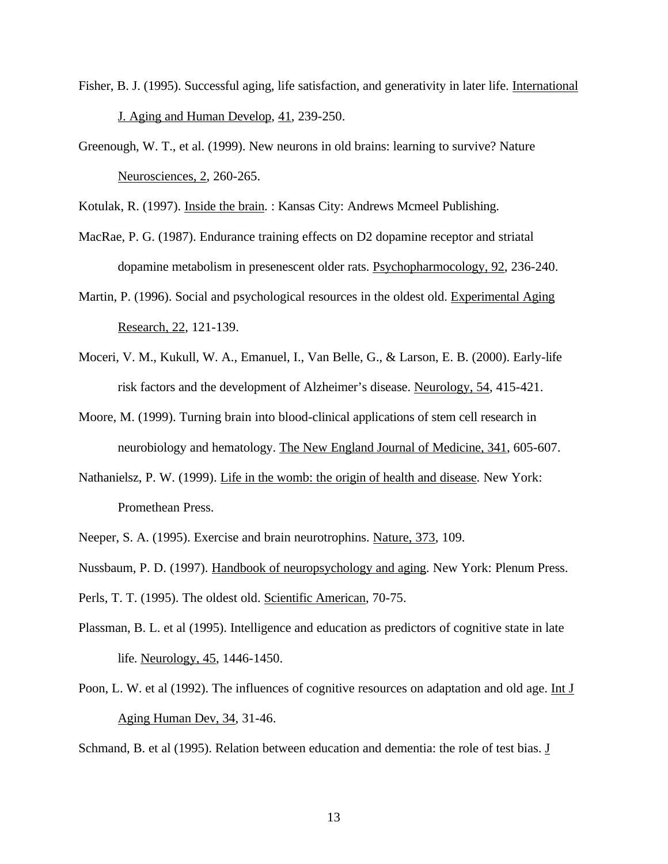- Fisher, B. J. (1995). Successful aging, life satisfaction, and generativity in later life. International J. Aging and Human Develop, 41, 239-250.
- Greenough, W. T., et al. (1999). New neurons in old brains: learning to survive? Nature Neurosciences, 2, 260-265.

Kotulak, R. (1997). Inside the brain. : Kansas City: Andrews Mcmeel Publishing.

- MacRae, P. G. (1987). Endurance training effects on D2 dopamine receptor and striatal dopamine metabolism in presenescent older rats. Psychopharmocology, 92, 236-240.
- Martin, P. (1996). Social and psychological resources in the oldest old. Experimental Aging Research, 22, 121-139.
- Moceri, V. M., Kukull, W. A., Emanuel, I., Van Belle, G., & Larson, E. B. (2000). Early-life risk factors and the development of Alzheimer's disease. Neurology, 54, 415-421.
- Moore, M. (1999). Turning brain into blood-clinical applications of stem cell research in neurobiology and hematology. The New England Journal of Medicine, 341, 605-607.
- Nathanielsz, P. W. (1999). Life in the womb: the origin of health and disease. New York: Promethean Press.
- Neeper, S. A. (1995). Exercise and brain neurotrophins. Nature, 373, 109.
- Nussbaum, P. D. (1997). Handbook of neuropsychology and aging. New York: Plenum Press.

Perls, T. T. (1995). The oldest old. Scientific American, 70-75.

- Plassman, B. L. et al (1995). Intelligence and education as predictors of cognitive state in late life. Neurology, 45, 1446-1450.
- Poon, L. W. et al (1992). The influences of cognitive resources on adaptation and old age. Int J Aging Human Dev, 34, 31-46.

Schmand, B. et al (1995). Relation between education and dementia: the role of test bias. J